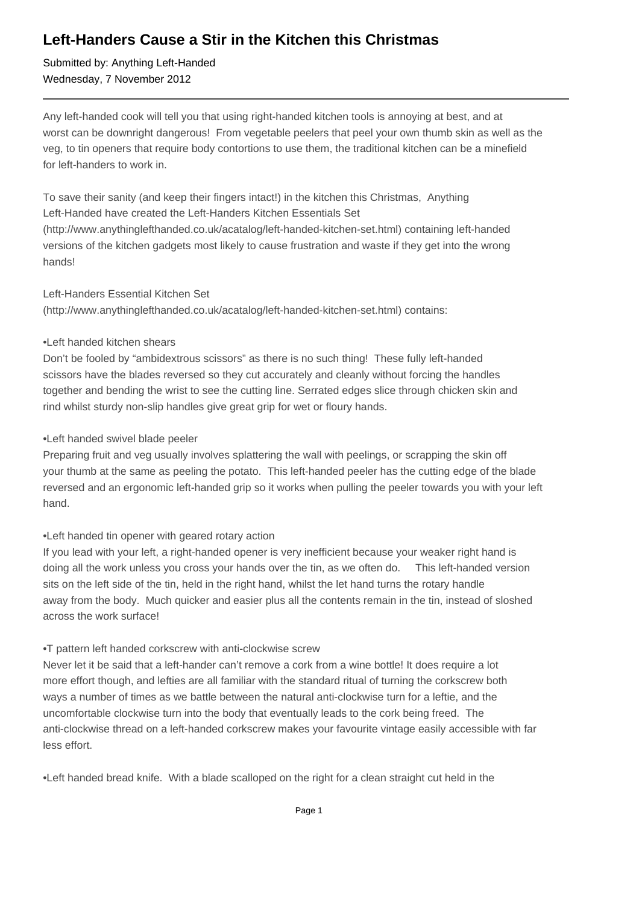# **Left-Handers Cause a Stir in the Kitchen this Christmas**

Submitted by: Anything Left-Handed Wednesday, 7 November 2012

Any left-handed cook will tell you that using right-handed kitchen tools is annoying at best, and at worst can be downright dangerous! From vegetable peelers that peel your own thumb skin as well as the veg, to tin openers that require body contortions to use them, the traditional kitchen can be a minefield for left-handers to work in.

To save their sanity (and keep their fingers intact!) in the kitchen this Christmas, Anything Left-Handed have created the Left-Handers Kitchen Essentials Set (http://www.anythinglefthanded.co.uk/acatalog/left-handed-kitchen-set.html) containing left-handed versions of the kitchen gadgets most likely to cause frustration and waste if they get into the wrong hands!

#### Left-Handers Essential Kitchen Set

(http://www.anythinglefthanded.co.uk/acatalog/left-handed-kitchen-set.html) contains:

#### • Left handed kitchen shears

Don't be fooled by "ambidextrous scissors" as there is no such thing! These fully left-handed scissors have the blades reversed so they cut accurately and cleanly without forcing the handles together and bending the wrist to see the cutting line. Serrated edges slice through chicken skin and rind whilst sturdy non-slip handles give great grip for wet or floury hands.

#### • Left handed swivel blade peeler

Preparing fruit and veg usually involves splattering the wall with peelings, or scrapping the skin off your thumb at the same as peeling the potato. This left-handed peeler has the cutting edge of the blade reversed and an ergonomic left-handed grip so it works when pulling the peeler towards you with your left hand.

## • Left handed tin opener with geared rotary action

If you lead with your left, a right-handed opener is very inefficient because your weaker right hand is doing all the work unless you cross your hands over the tin, as we often do. This left-handed version sits on the left side of the tin, held in the right hand, whilst the let hand turns the rotary handle away from the body. Much quicker and easier plus all the contents remain in the tin, instead of sloshed across the work surface!

## • T pattern left handed corkscrew with anti-clockwise screw

Never let it be said that a left-hander can't remove a cork from a wine bottle! It does require a lot more effort though, and lefties are all familiar with the standard ritual of turning the corkscrew both ways a number of times as we battle between the natural anti-clockwise turn for a leftie, and the uncomfortable clockwise turn into the body that eventually leads to the cork being freed. The anti-clockwise thread on a left-handed corkscrew makes your favourite vintage easily accessible with far less effort.

• Left handed bread knife. With a blade scalloped on the right for a clean straight cut held in the